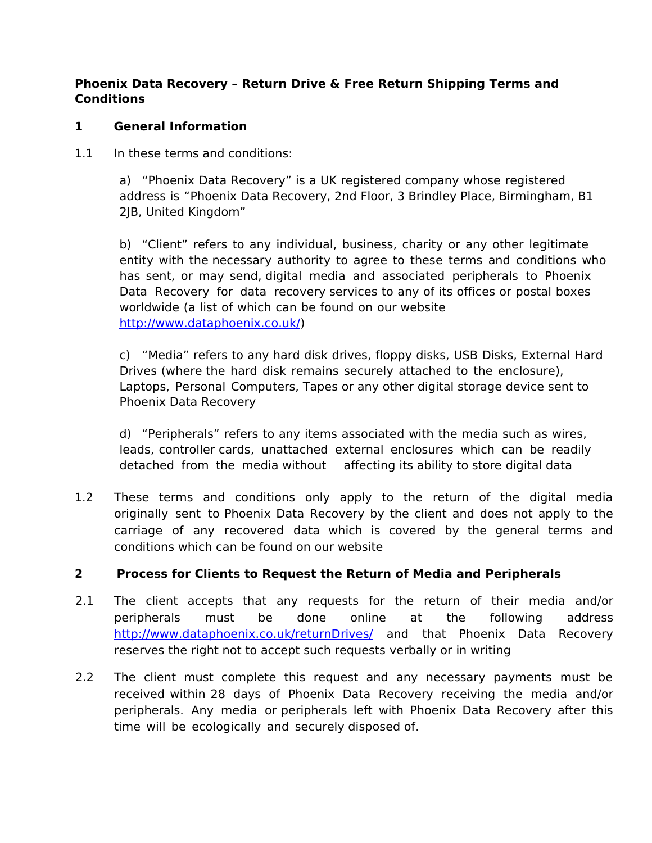## **Phoenix Data Recovery – Return Drive & Free Return Shipping Terms and Conditions**

## **1 General Information**

1.1 In these terms and conditions:

a) "Phoenix Data Recovery" is a UK registered company whose registered address is "Phoenix Data Recovery, 2nd Floor, 3 Brindley Place, Birmingham, B1 2JB, United Kingdom"

b) "Client" refers to any individual, business, charity or any other legitimate entity with the necessary authority to agree to these terms and conditions who has sent, or may send, digital media and associated peripherals to Phoenix Data Recovery for data recovery services to any of its offices or postal boxes worldwide (a list of which can be found on our website http://www.dataphoenix.co.uk/)

c) "Media" refers to any hard disk drives, floppy disks, USB Disks, External Hard Drives (where the hard disk remains securely attached to the enclosure), Laptops, Personal Computers, Tapes or any other digital storage device sent to Phoenix Data Recovery

d) "Peripherals" refers to any items associated with the media such as wires, leads, controller cards, unattached external enclosures which can be readily detached from the media without affecting its ability to store digital data

1.2 These terms and conditions only apply to the return of the digital media originally sent to Phoenix Data Recovery by the client and does not apply to the carriage of any recovered data which is covered by the general terms and conditions which can be found on our website

# **2 Process for Clients to Request the Return of Media and Peripherals**

- 2.1 The client accepts that any requests for the return of their media and/or peripherals must be done online at the following address http://www.dataphoenix.co.uk/returnDrives/ and that Phoenix Data Recovery reserves the right not to accept such requests verbally or in writing
- 2.2 The client must complete this request and any necessary payments must be received within 28 days of Phoenix Data Recovery receiving the media and/or peripherals. Any media or peripherals left with Phoenix Data Recovery after this time will be ecologically and securely disposed of.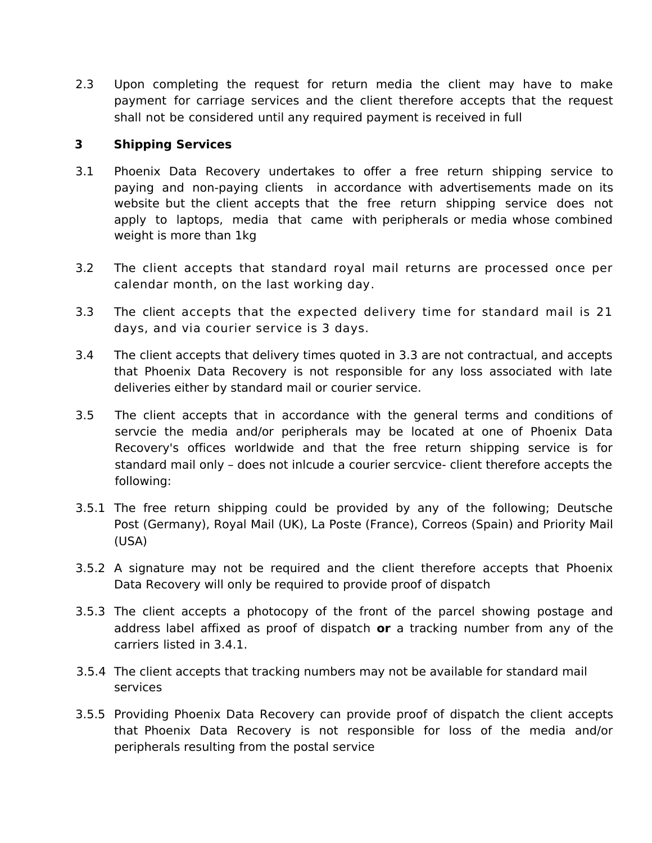2.3 Upon completing the request for return media the client may have to make payment for carriage services and the client therefore accepts that the request shall not be considered until any required payment is received in full

#### **3 Shipping Services**

- 3.1 Phoenix Data Recovery undertakes to offer a free return shipping service to paying and non-paying clients in accordance with advertisements made on its website but the client accepts that the free return shipping service does not apply to laptops, media that came with peripherals or media whose combined weight is more than 1kg
- 3.2 The client accepts that standard royal mail returns are processed once per calendar month, on the last working day.
- 3.3 The client accepts that the expected delivery time for standard mail is 21 days, and via courier service is 3 days.
- 3.4 The client accepts that delivery times quoted in 3.3 are not contractual, and accepts that Phoenix Data Recovery is not responsible for any loss associated with late deliveries either by standard mail or courier service.
- 3.5 The client accepts that in accordance with the general terms and conditions of servcie the media and/or peripherals may be located at one of Phoenix Data Recovery's offices worldwide and that the free return shipping service is for standard mail only – does not inlcude a courier sercvice- client therefore accepts the following:
- 3.5.1 The free return shipping could be provided by any of the following; Deutsche Post (Germany), Royal Mail (UK), La Poste (France), Correos (Spain) and Priority Mail (USA)
- 3.5.2 A signature may not be required and the client therefore accepts that Phoenix Data Recovery will only be required to provide proof of dispatch
- 3.5.3 The client accepts a photocopy of the front of the parcel showing postage and address label affixed as proof of dispatch **or** a tracking number from any of the carriers listed in 3.4.1.
- 3.5.4 The client accepts that tracking numbers may not be available for standard mail services
- 3.5.5 Providing Phoenix Data Recovery can provide proof of dispatch the client accepts that Phoenix Data Recovery is not responsible for loss of the media and/or peripherals resulting from the postal service